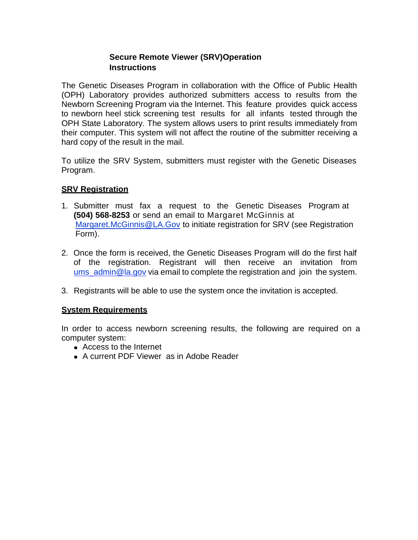# **Secure Remote Viewer (SRV)Operation Instructions**

The Genetic Diseases Program in collaboration with the Office of Public Health (OPH) Laboratory provides authorized submitters access to results from the Newborn Screening Program via the Internet. This feature provides quick access to newborn heel stick screening test results for all infants tested through the OPH State Laboratory. The system allows users to print results immediately from their computer. This system will not affect the routine of the submitter receiving a hard copy of the result in the mail.

To utilize the SRV System, submitters must register with the Genetic Diseases Program.

# **SRV Registration**

- 1. Submitter must fax a request to the Genetic Diseases Program at **(504) 568-8253** or send an email to Margaret McGinnis at [Margaret.McGinnis@LA.Gov](mailto:Margaret.McGinnis@LA.Gov) to initiate registration for SRV (see Registration Form).
- 2. Once the form is received, the Genetic Diseases Program will do the first half of the registration. Registrant will then receive an invitation from ums admin@la.gov via email to complete the registration and join the system.
- 3. Registrants will be able to use the system once the invitation is accepted.

### **System Requirements**

In order to access newborn screening results, the following are required on a computer system:

- Access to the Internet
- A current PDF Viewer as in Adobe Reader